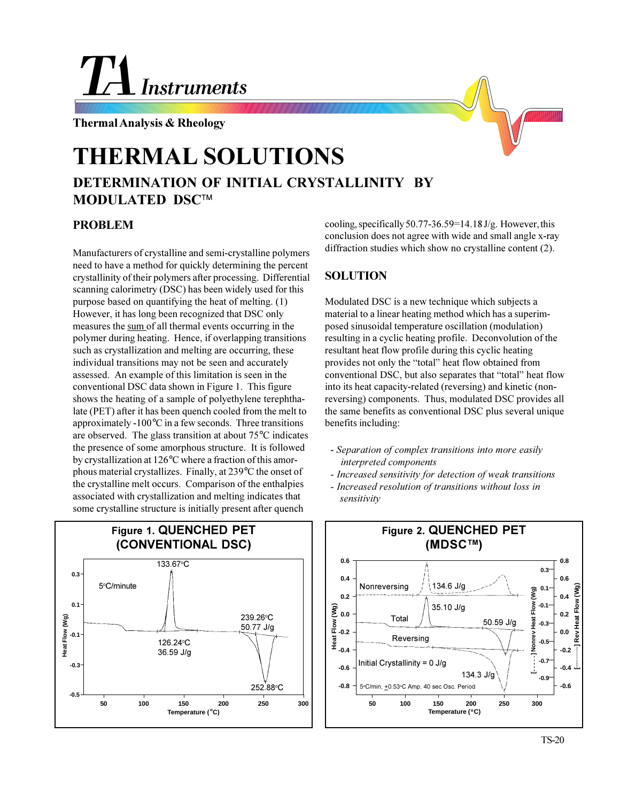# L Instruments

**Thermal Analysis & Rheology**

# **DETERMINATION OF INITIAL CRYSTALLINITY BY THERMAL SOLUTIONS**

**MODULATED DSC<sup>TM</sup>** 

## **PROBLEM**

Manufacturers of crystalline and semi-crystalline polymers need to have a method for quickly determining the percent crystallinity of their polymers after processing. Differential scanning calorimetry (DSC) has been widely used for this purpose based on quantifying the heat of melting. (1) However, it has long been recognized that DSC only measures the sum of all thermal events occurring in the polymer during heating. Hence, if overlapping transitions such as crystallization and melting are occurring, these individual transitions may not be seen and accurately assessed. An example of this limitation is seen in the conventional DSC data shown in Figure 1. This figure shows the heating of a sample of polyethylene terephthalate (PET) after it has been quench cooled from the melt to approximately -100°C in a few seconds. Three transitions are observed. The glass transition at about 75°C indicates the presence of some amorphous structure. It is followed by crystallization at 126°C where a fraction of this amorphous material crystallizes. Finally, at 239°C the onset of the crystalline melt occurs. Comparison of the enthalpies associated with crystallization and melting indicates that some crystalline structure is initially present after quench

cooling, specifically 50.77-36.59=14.18 J/g. However, this conclusion does not agree with wide and small angle x-ray diffraction studies which show no crystalline content (2).

### **SOLUTION**

Modulated DSC is a new technique which subjects a material to a linear heating method which has a superimposed sinusoidal temperature oscillation (modulation) resulting in a cyclic heating profile. Deconvolution of the resultant heat flow profile during this cyclic heating provides not only the "total" heat flow obtained from conventional DSC, but also separates that "total" heat flow into its heat capacity-related (reversing) and kinetic (nonreversing) components. Thus, modulated DSC provides all the same benefits as conventional DSC plus several unique benefits including:

- *Separation of complex transitions into more easily interpreted components*
- *Increased sensitivity for detection of weak transitions*
- *Increased resolution of transitions without loss in sensitivity*